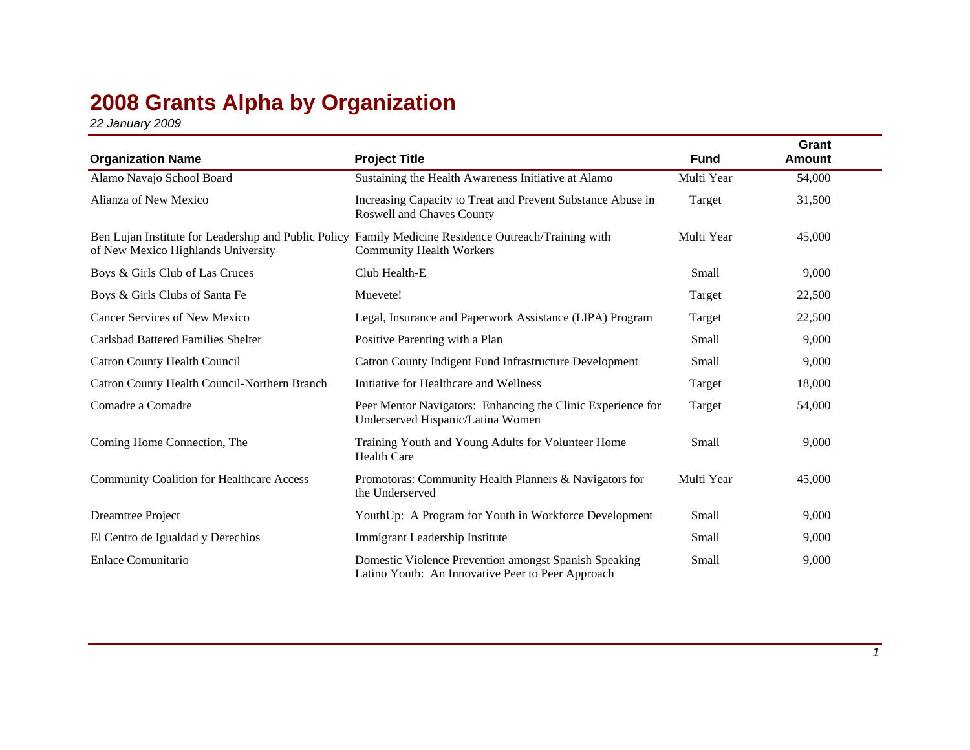## **2008 Grants Alpha by Organization**

*22 January 2009*

| <b>Organization Name</b>                         | <b>Project Title</b>                                                                                                                     | <b>Fund</b> | Grant<br>Amount |
|--------------------------------------------------|------------------------------------------------------------------------------------------------------------------------------------------|-------------|-----------------|
| Alamo Navajo School Board                        | Sustaining the Health Awareness Initiative at Alamo                                                                                      | Multi Year  | 54,000          |
| Alianza of New Mexico                            | Increasing Capacity to Treat and Prevent Substance Abuse in<br>Roswell and Chaves County                                                 | Target      | 31,500          |
| of New Mexico Highlands University               | Ben Lujan Institute for Leadership and Public Policy Family Medicine Residence Outreach/Training with<br><b>Community Health Workers</b> | Multi Year  | 45,000          |
| Boys & Girls Club of Las Cruces                  | Club Health-E                                                                                                                            | Small       | 9,000           |
| Boys & Girls Clubs of Santa Fe                   | Muevete!                                                                                                                                 | Target      | 22,500          |
| Cancer Services of New Mexico                    | Legal, Insurance and Paperwork Assistance (LIPA) Program                                                                                 | Target      | 22,500          |
| <b>Carlsbad Battered Families Shelter</b>        | Positive Parenting with a Plan                                                                                                           | Small       | 9,000           |
| <b>Catron County Health Council</b>              | Catron County Indigent Fund Infrastructure Development                                                                                   | Small       | 9,000           |
| Catron County Health Council-Northern Branch     | Initiative for Healthcare and Wellness                                                                                                   | Target      | 18,000          |
| Comadre a Comadre                                | Peer Mentor Navigators: Enhancing the Clinic Experience for<br>Underserved Hispanic/Latina Women                                         | Target      | 54,000          |
| Coming Home Connection, The                      | Training Youth and Young Adults for Volunteer Home<br><b>Health Care</b>                                                                 | Small       | 9,000           |
| <b>Community Coalition for Healthcare Access</b> | Promotoras: Community Health Planners & Navigators for<br>the Underserved                                                                | Multi Year  | 45,000          |
| Dreamtree Project                                | YouthUp: A Program for Youth in Workforce Development                                                                                    | Small       | 9,000           |
| El Centro de Igualdad y Derechios                | Immigrant Leadership Institute                                                                                                           | Small       | 9,000           |
| Enlace Comunitario                               | Domestic Violence Prevention amongst Spanish Speaking<br>Latino Youth: An Innovative Peer to Peer Approach                               | Small       | 9,000           |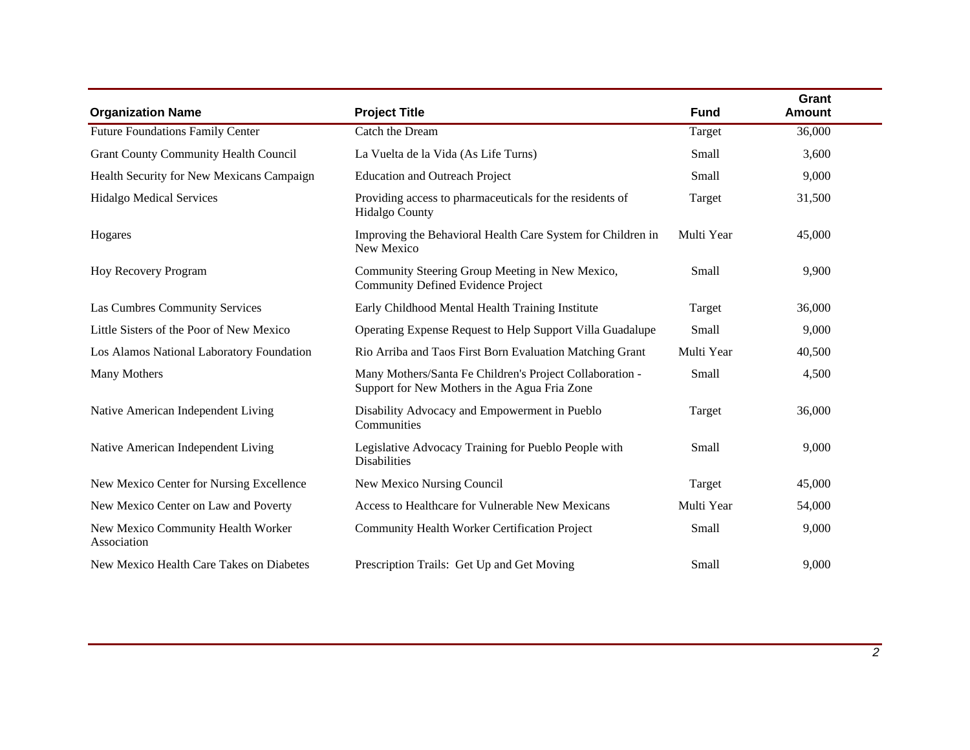| <b>Organization Name</b>                          | <b>Project Title</b>                                                                                      | <b>Fund</b> | Grant<br><b>Amount</b> |
|---------------------------------------------------|-----------------------------------------------------------------------------------------------------------|-------------|------------------------|
| <b>Future Foundations Family Center</b>           | Catch the Dream                                                                                           | Target      | 36,000                 |
| <b>Grant County Community Health Council</b>      | La Vuelta de la Vida (As Life Turns)                                                                      | Small       | 3,600                  |
| Health Security for New Mexicans Campaign         | <b>Education and Outreach Project</b>                                                                     | Small       | 9,000                  |
| <b>Hidalgo Medical Services</b>                   | Providing access to pharmaceuticals for the residents of<br><b>Hidalgo County</b>                         | Target      | 31,500                 |
| Hogares                                           | Improving the Behavioral Health Care System for Children in<br>New Mexico                                 | Multi Year  | 45,000                 |
| Hoy Recovery Program                              | Community Steering Group Meeting in New Mexico,<br><b>Community Defined Evidence Project</b>              | Small       | 9,900                  |
| Las Cumbres Community Services                    | Early Childhood Mental Health Training Institute                                                          | Target      | 36,000                 |
| Little Sisters of the Poor of New Mexico          | Operating Expense Request to Help Support Villa Guadalupe                                                 | Small       | 9,000                  |
| Los Alamos National Laboratory Foundation         | Rio Arriba and Taos First Born Evaluation Matching Grant                                                  | Multi Year  | 40,500                 |
| Many Mothers                                      | Many Mothers/Santa Fe Children's Project Collaboration -<br>Support for New Mothers in the Agua Fria Zone | Small       | 4,500                  |
| Native American Independent Living                | Disability Advocacy and Empowerment in Pueblo<br>Communities                                              | Target      | 36,000                 |
| Native American Independent Living                | Legislative Advocacy Training for Pueblo People with<br><b>Disabilities</b>                               | Small       | 9,000                  |
| New Mexico Center for Nursing Excellence          | New Mexico Nursing Council                                                                                | Target      | 45,000                 |
| New Mexico Center on Law and Poverty              | Access to Healthcare for Vulnerable New Mexicans                                                          | Multi Year  | 54,000                 |
| New Mexico Community Health Worker<br>Association | Community Health Worker Certification Project                                                             | Small       | 9,000                  |
| New Mexico Health Care Takes on Diabetes          | Prescription Trails: Get Up and Get Moving                                                                | Small       | 9,000                  |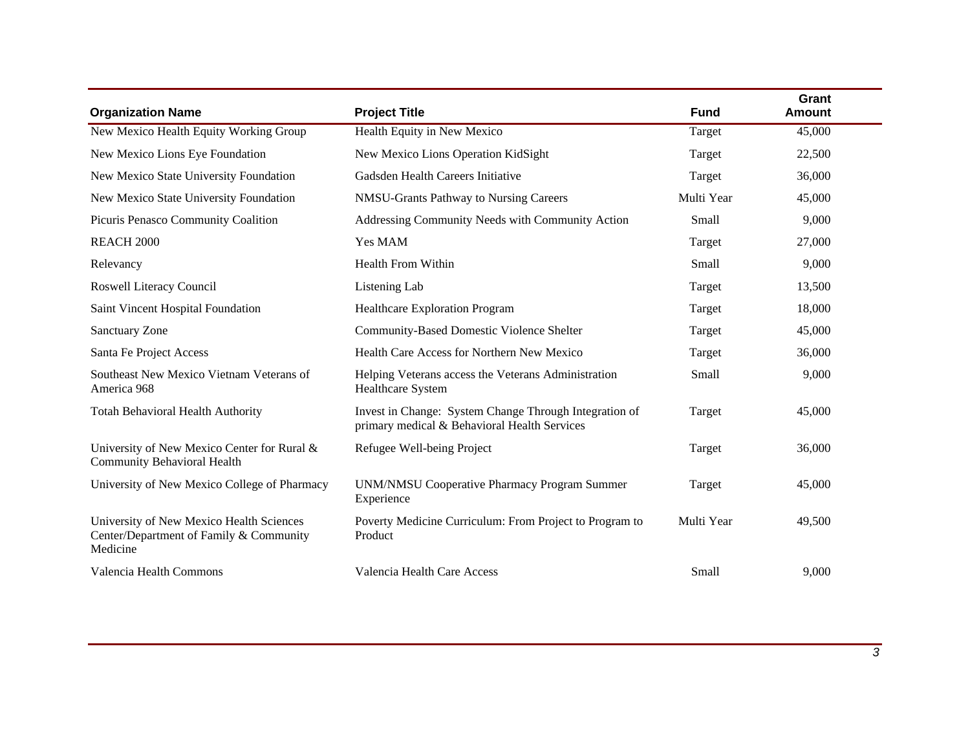| <b>Organization Name</b>                                                                        | <b>Project Title</b>                                                                                   | <b>Fund</b> | Grant<br><b>Amount</b> |
|-------------------------------------------------------------------------------------------------|--------------------------------------------------------------------------------------------------------|-------------|------------------------|
| New Mexico Health Equity Working Group                                                          | Health Equity in New Mexico                                                                            | Target      | 45,000                 |
| New Mexico Lions Eye Foundation                                                                 | New Mexico Lions Operation KidSight                                                                    | Target      | 22,500                 |
| New Mexico State University Foundation                                                          | Gadsden Health Careers Initiative                                                                      | Target      | 36,000                 |
| New Mexico State University Foundation                                                          | NMSU-Grants Pathway to Nursing Careers                                                                 | Multi Year  | 45,000                 |
| Picuris Penasco Community Coalition                                                             | Addressing Community Needs with Community Action                                                       | Small       | 9,000                  |
| REACH 2000                                                                                      | Yes MAM                                                                                                | Target      | 27,000                 |
| Relevancy                                                                                       | <b>Health From Within</b>                                                                              | Small       | 9,000                  |
| Roswell Literacy Council                                                                        | Listening Lab                                                                                          | Target      | 13,500                 |
| Saint Vincent Hospital Foundation                                                               | <b>Healthcare Exploration Program</b>                                                                  | Target      | 18,000                 |
| <b>Sanctuary Zone</b>                                                                           | <b>Community-Based Domestic Violence Shelter</b>                                                       | Target      | 45,000                 |
| Santa Fe Project Access                                                                         | Health Care Access for Northern New Mexico                                                             | Target      | 36,000                 |
| Southeast New Mexico Vietnam Veterans of<br>America 968                                         | Helping Veterans access the Veterans Administration<br>Healthcare System                               | Small       | 9,000                  |
| <b>Totah Behavioral Health Authority</b>                                                        | Invest in Change: System Change Through Integration of<br>primary medical & Behavioral Health Services | Target      | 45,000                 |
| University of New Mexico Center for Rural &<br><b>Community Behavioral Health</b>               | Refugee Well-being Project                                                                             | Target      | 36,000                 |
| University of New Mexico College of Pharmacy                                                    | <b>UNM/NMSU Cooperative Pharmacy Program Summer</b><br>Experience                                      | Target      | 45,000                 |
| University of New Mexico Health Sciences<br>Center/Department of Family & Community<br>Medicine | Poverty Medicine Curriculum: From Project to Program to<br>Product                                     | Multi Year  | 49,500                 |
| Valencia Health Commons                                                                         | Valencia Health Care Access                                                                            | Small       | 9,000                  |